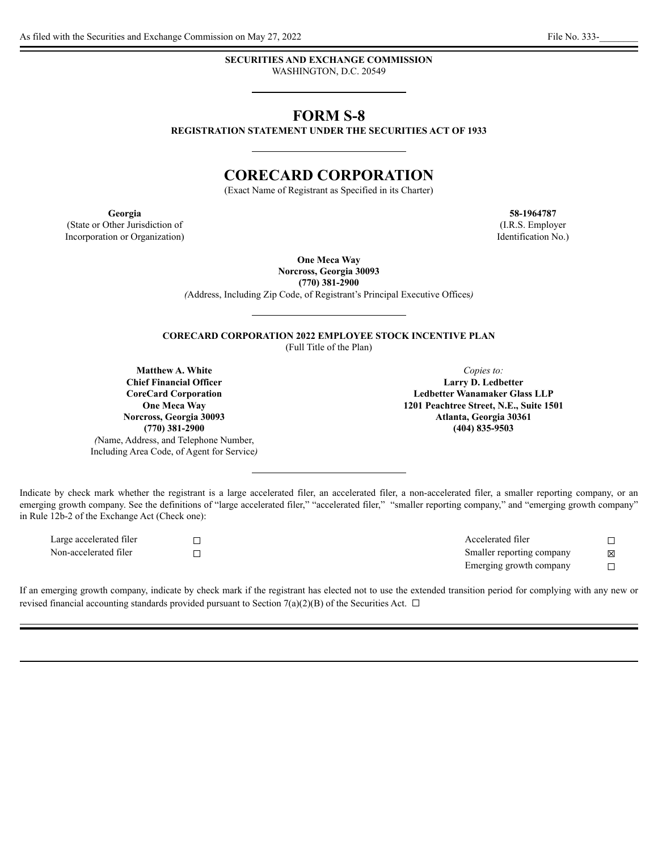# **SECURITIES AND EXCHANGE COMMISSION**

WASHINGTON, D.C. 20549

# **FORM S-8**

**REGISTRATION STATEMENT UNDER THE SECURITIES ACT OF 1933**

# **CORECARD CORPORATION**

(Exact Name of Registrant as Specified in its Charter)

**Georgia**

(State or Other Jurisdiction of Incorporation or Organization)

> **One Meca Way Norcross, Georgia 30093 (770) 381-2900**

*(*Address, Including Zip Code, of Registrant's Principal Executive Offices*)*

**CORECARD CORPORATION 2022 EMPLOYEE STOCK INCENTIVE PLAN**

(Full Title of the Plan)

**Matthew A. White Chief Financial Officer CoreCard Corporation One Meca Way Norcross, Georgia 30093 (770) 381-2900** *(*Name, Address, and Telephone Number, Including Area Code, of Agent for Service*)*

*Copies to:* **Larry D. Ledbetter Ledbetter Wanamaker Glass LLP 1201 Peachtree Street, N.E., Suite 1501 Atlanta, Georgia 30361 (404) 835-9503**

Indicate by check mark whether the registrant is a large accelerated filer, an accelerated filer, a non-accelerated filer, a smaller reporting company, or an emerging growth company. See the definitions of "large accelerated filer," "accelerated filer," "smaller reporting company," and "emerging growth company" in Rule 12b-2 of the Exchange Act (Check one):

Large accelerated filer ☐ Accelerated filer ☐ Non-accelerated filer ☐ Smaller reporting company ☒ Emerging growth company  $\Box$ 

If an emerging growth company, indicate by check mark if the registrant has elected not to use the extended transition period for complying with any new or revised financial accounting standards provided pursuant to Section 7(a)(2)(B) of the Securities Act.  $\Box$ 

**58-1964787**

(I.R.S. Employer Identification No.)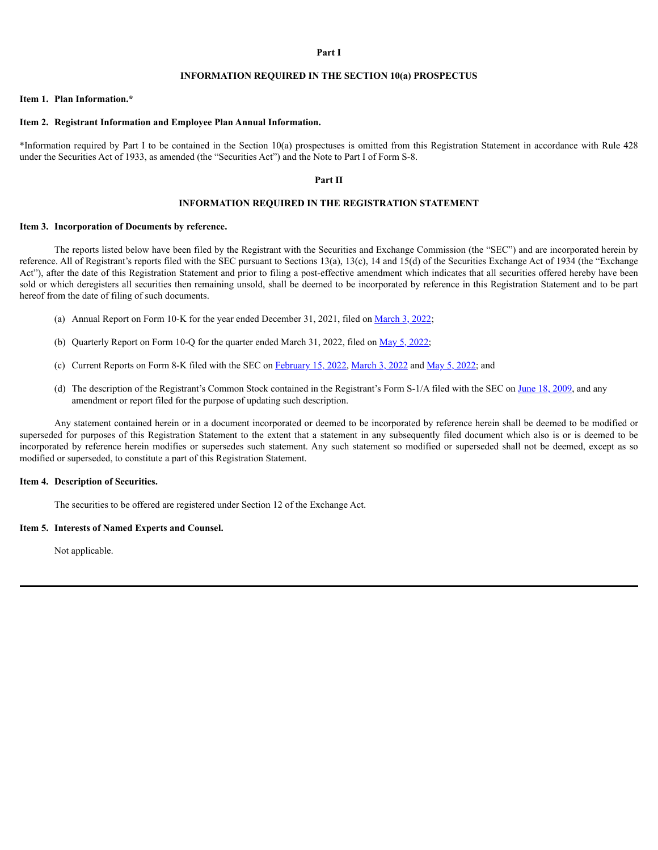#### **Part I**

#### **INFORMATION REQUIRED IN THE SECTION 10(a) PROSPECTUS**

#### **Item 1. Plan Information.\***

#### **Item 2. Registrant Information and Employee Plan Annual Information.**

\*Information required by Part I to be contained in the Section 10(a) prospectuses is omitted from this Registration Statement in accordance with Rule 428 under the Securities Act of 1933, as amended (the "Securities Act") and the Note to Part I of Form S-8.

#### **Part II**

#### **INFORMATION REQUIRED IN THE REGISTRATION STATEMENT**

#### **Item 3. Incorporation of Documents by reference.**

The reports listed below have been filed by the Registrant with the Securities and Exchange Commission (the "SEC") and are incorporated herein by reference. All of Registrant's reports filed with the SEC pursuant to Sections 13(a), 13(c), 14 and 15(d) of the Securities Exchange Act of 1934 (the "Exchange Act"), after the date of this Registration Statement and prior to filing a post-effective amendment which indicates that all securities offered hereby have been sold or which deregisters all securities then remaining unsold, shall be deemed to be incorporated by reference in this Registration Statement and to be part hereof from the date of filing of such documents.

- (a) Annual Report on Form 10-K for the year ended December 31, 2021, filed on [March](https://content.edgar-online.com/ExternalLink/EDGAR/0001437749-22-005090.html?hash=e116df749840f8b9037216f845ec4cf1b8be3e756131015c1ee4d1262ec43aa4&dest=ins20211231_10k_htm) 3, 2022;
- (b) Quarterly Report on Form 10-Q for the quarter ended March 31, 2022, filed on  $\frac{May\ 5, 2022}{,}$
- (c) Current Reports on Form 8-K filed with the SEC on [February](https://content.edgar-online.com/ExternalLink/EDGAR/0001171843-22-001029.html?hash=5b7a50d6c7576af1328966d2b97ff193b63e8cff5d0a0b2cd6b0a14c1ce53eb0&dest=f8k_021422_htm) 15, 2022, [March](https://content.edgar-online.com/ExternalLink/EDGAR/0001437749-22-005084.html?hash=1f36622dff774648d313ad91bb70a41b2bfb23c1799706848bfe6c5630f9d3df&dest=ins20220225_8k_htm) 3, 2022 and May 5, [2022](https://content.edgar-online.com/ExternalLink/EDGAR/0001171843-22-003267.html?hash=3658227949f15904574abe487d0eebca06c520230dacb7b3a0d11ebb76d42407&dest=f8k_050422_htm); and
- (d) The description of the Registrant's Common Stock contained in the Registrant's Form S-1/A filed with the SEC on June 18, [2009](https://content.edgar-online.com/ExternalLink/EDGAR/0000950123-09-013924.html?hash=b53de4f14f63e208bd03534d5606634bc911593aedbdfb24b67fb3aeeb1d6de1&dest=g18612a2sv1za_htm), and any amendment or report filed for the purpose of updating such description.

Any statement contained herein or in a document incorporated or deemed to be incorporated by reference herein shall be deemed to be modified or superseded for purposes of this Registration Statement to the extent that a statement in any subsequently filed document which also is or is deemed to be incorporated by reference herein modifies or supersedes such statement. Any such statement so modified or superseded shall not be deemed, except as so modified or superseded, to constitute a part of this Registration Statement.

#### **Item 4. Description of Securities.**

The securities to be offered are registered under Section 12 of the Exchange Act.

#### **Item 5. Interests of Named Experts and Counsel.**

Not applicable.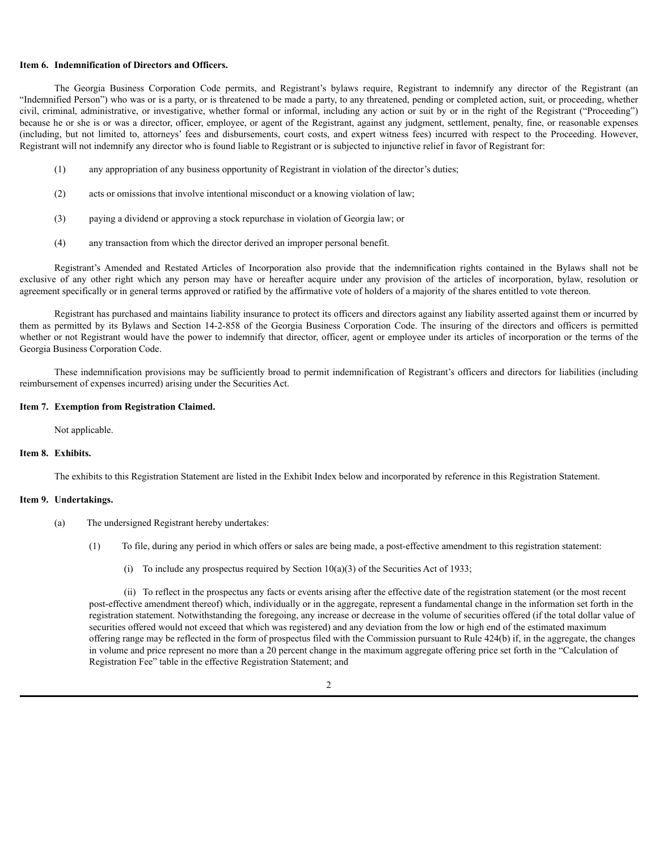#### **Item 6. Indemnification of Directors and Officers.**

The Georgia Business Corporation Code permits, and Registrant's bylaws require, Registrant to indemnify any director of the Registrant (an "Indemnified Person") who was or is a party, or is threatened to be made a party, to any threatened, pending or completed action, suit, or proceeding, whether civil, criminal, administrative, or investigative, whether formal or informal, including any action or suit by or in the right of the Registrant ("Proceeding") because he or she is or was a director, officer, employee, or agent of the Registrant, against any judgment, settlement, penalty, fine, or reasonable expenses (including, but not limited to, attorneys' fees and disbursements, court costs, and expert witness fees) incurred with respect to the Proceeding. However, Registrant will not indemnify any director who is found liable to Registrant or is subjected to injunctive relief in favor of Registrant for:

- (1) any appropriation of any business opportunity of Registrant in violation of the director's duties;
- (2) acts or omissions that involve intentional misconduct or a knowing violation of law;
- (3) paying a dividend or approving a stock repurchase in violation of Georgia law; or
- (4) any transaction from which the director derived an improper personal benefit.

Registrant's Amended and Restated Articles of Incorporation also provide that the indemnification rights contained in the Bylaws shall not be exclusive of any other right which any person may have or hereafter acquire under any provision of the articles of incorporation, bylaw, resolution or agreement specifically or in general terms approved or ratified by the affirmative vote of holders of a majority of the shares entitled to vote thereon.

Registrant has purchased and maintains liability insurance to protect its officers and directors against any liability asserted against them or incurred by them as permitted by its Bylaws and Section 14-2-858 of the Georgia Business Corporation Code. The insuring of the directors and officers is permitted whether or not Registrant would have the power to indemnify that director, officer, agent or employee under its articles of incorporation or the terms of the Georgia Business Corporation Code.

These indemnification provisions may be sufficiently broad to permit indemnification of Registrant's officers and directors for liabilities (including reimbursement of expenses incurred) arising under the Securities Act.

#### **Item 7. Exemption from Registration Claimed.**

Not applicable.

#### **Item 8. Exhibits.**

The exhibits to this Registration Statement are listed in the Exhibit Index below and incorporated by reference in this Registration Statement.

#### **Item 9. Undertakings.**

- (a) The undersigned Registrant hereby undertakes:
	- (1) To file, during any period in which offers or sales are being made, a post-effective amendment to this registration statement:
		- (i) To include any prospectus required by Section  $10(a)(3)$  of the Securities Act of 1933;

(ii) To reflect in the prospectus any facts or events arising after the effective date of the registration statement (or the most recent post-effective amendment thereof) which, individually or in the aggregate, represent a fundamental change in the information set forth in the registration statement. Notwithstanding the foregoing, any increase or decrease in the volume of securities offered (if the total dollar value of securities offered would not exceed that which was registered) and any deviation from the low or high end of the estimated maximum offering range may be reflected in the form of prospectus filed with the Commission pursuant to Rule 424(b) if, in the aggregate, the changes in volume and price represent no more than a 20 percent change in the maximum aggregate offering price set forth in the "Calculation of Registration Fee" table in the effective Registration Statement; and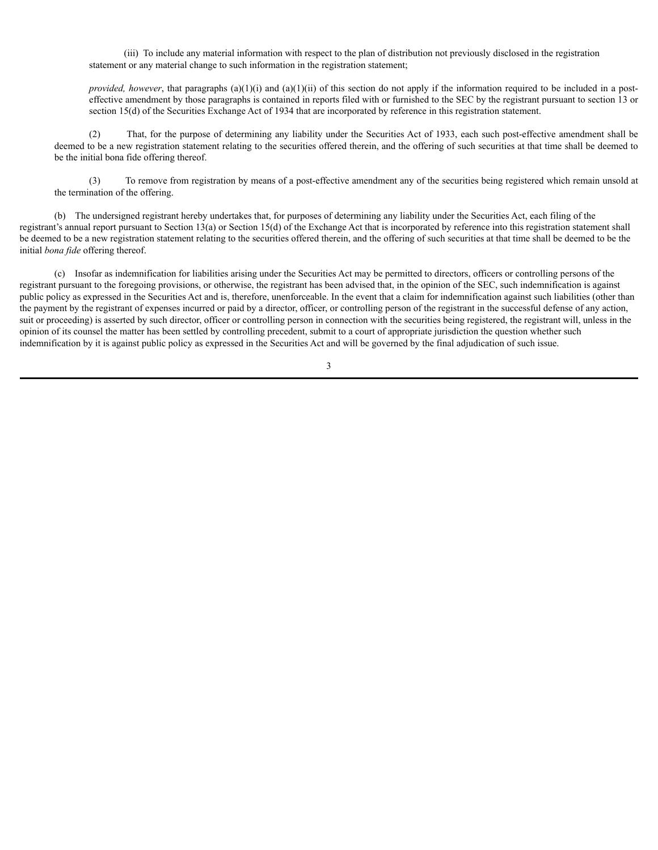(iii) To include any material information with respect to the plan of distribution not previously disclosed in the registration statement or any material change to such information in the registration statement;

*provided, however*, that paragraphs (a)(1)(i) and (a)(1)(ii) of this section do not apply if the information required to be included in a posteffective amendment by those paragraphs is contained in reports filed with or furnished to the SEC by the registrant pursuant to section 13 or section 15(d) of the Securities Exchange Act of 1934 that are incorporated by reference in this registration statement.

(2) That, for the purpose of determining any liability under the Securities Act of 1933, each such post-effective amendment shall be deemed to be a new registration statement relating to the securities offered therein, and the offering of such securities at that time shall be deemed to be the initial bona fide offering thereof.

(3) To remove from registration by means of a post-effective amendment any of the securities being registered which remain unsold at the termination of the offering.

(b) The undersigned registrant hereby undertakes that, for purposes of determining any liability under the Securities Act, each filing of the registrant's annual report pursuant to Section 13(a) or Section 15(d) of the Exchange Act that is incorporated by reference into this registration statement shall be deemed to be a new registration statement relating to the securities offered therein, and the offering of such securities at that time shall be deemed to be the initial *bona fide* offering thereof.

(c) Insofar as indemnification for liabilities arising under the Securities Act may be permitted to directors, officers or controlling persons of the registrant pursuant to the foregoing provisions, or otherwise, the registrant has been advised that, in the opinion of the SEC, such indemnification is against public policy as expressed in the Securities Act and is, therefore, unenforceable. In the event that a claim for indemnification against such liabilities (other than the payment by the registrant of expenses incurred or paid by a director, officer, or controlling person of the registrant in the successful defense of any action, suit or proceeding) is asserted by such director, officer or controlling person in connection with the securities being registered, the registrant will, unless in the opinion of its counsel the matter has been settled by controlling precedent, submit to a court of appropriate jurisdiction the question whether such indemnification by it is against public policy as expressed in the Securities Act and will be governed by the final adjudication of such issue.

3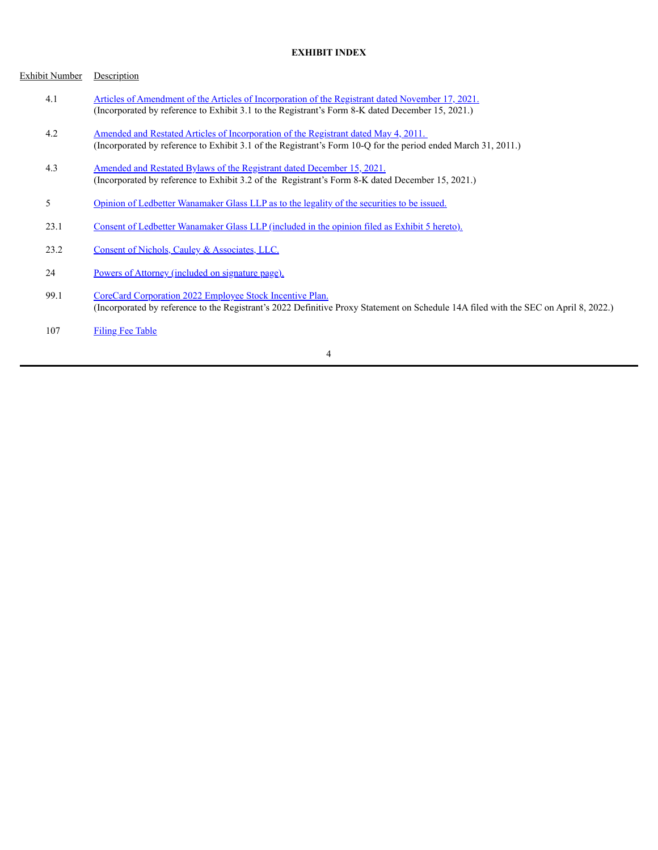## **EXHIBIT INDEX**

#### Exhibit Number Description

- 4.1 Articles of Amendment of the Articles of [Incorporation](https://content.edgar-online.com/ExternalLink/EDGAR/0001437749-21-028614.html?hash=d5f80d768be6999027a48d572f9e50e0732250b9748a1b6e9e14a4c7152ff1db&dest=ex_315099_htm) of the Registrant dated November 17, 2021. (Incorporated by reference to Exhibit 3.1 to the Registrant's Form 8-K dated December 15, 2021.)
- 4.2 Amended and Restated Articles of [Incorporation](https://content.edgar-online.com/ExternalLink/EDGAR/0000950123-11-047502.html?hash=845f00b7bd8eceb5118c756e4c7000927dcdecfb396fd3aa9b5ba6a80bdf41dd&dest=c16760exv3w1_htm) of the Registrant dated May 4, 2011. (Incorporated by reference to Exhibit 3.1 of the Registrant's Form 10-Q for the period ended March 31, 2011.)
- 4.3 Amended and Restated Bylaws of the [Registrant](https://content.edgar-online.com/ExternalLink/EDGAR/0001437749-21-028614.html?hash=d5f80d768be6999027a48d572f9e50e0732250b9748a1b6e9e14a4c7152ff1db&dest=ex_315023_htm) dated December 15, 2021. (Incorporated by reference to Exhibit 3.2 of the Registrant's Form 8-K dated December 15, 2021.)
- 5 Opinion of Ledbetter [Wanamaker](#page-6-0) Glass LLP as to the legality of the securities to be issued.
- 23.1 Consent of Ledbetter [Wanamaker](#page-6-0) Glass LLP (included in the opinion filed as Exhibit 5 hereto).
- 23.2 Consent of Nichols, Cauley & [Associates,](#page-7-0) LLC.
- 24 Powers of Attorney [\(included](#page-5-0) on signature page).
- 99.1 CoreCard [Corporation](https://content.edgar-online.com/ExternalLink/EDGAR/0001437749-22-008548.html?hash=a7519d1dec49516962a193b79f924277d6449aedbcd0f6fb031e512274ae88ae&dest=ins20220329_def14a_htm) 2022 Employee Stock Incentive Plan. (Incorporated by reference to the Registrant's 2022 Definitive Proxy Statement on Schedule 14A filed with the SEC on April 8, 2022.)
- 107 [Filing](#page-8-0) Fee Table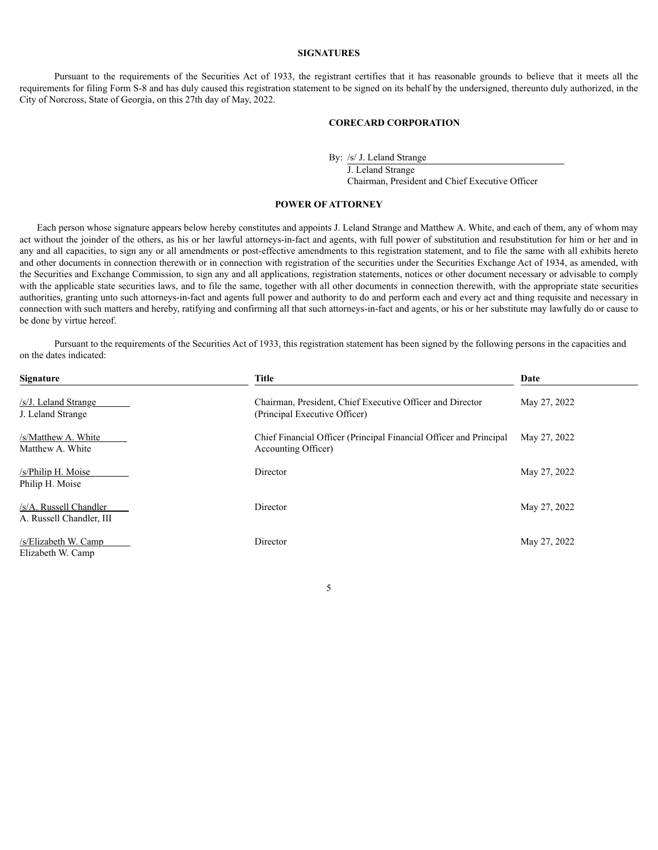#### **SIGNATURES**

Pursuant to the requirements of the Securities Act of 1933, the registrant certifies that it has reasonable grounds to believe that it meets all the requirements for filing Form S-8 and has duly caused this registration statement to be signed on its behalf by the undersigned, thereunto duly authorized, in the City of Norcross, State of Georgia, on this 27th day of May, 2022.

#### **CORECARD CORPORATION**

By: /s/ J. Leland Strange

J. Leland Strange Chairman, President and Chief Executive Officer

#### <span id="page-5-0"></span>**POWER OF ATTORNEY**

Each person whose signature appears below hereby constitutes and appoints J. Leland Strange and Matthew A. White, and each of them, any of whom may act without the joinder of the others, as his or her lawful attorneys-in-fact and agents, with full power of substitution and resubstitution for him or her and in any and all capacities, to sign any or all amendments or post-effective amendments to this registration statement, and to file the same with all exhibits hereto and other documents in connection therewith or in connection with registration of the securities under the Securities Exchange Act of 1934, as amended, with the Securities and Exchange Commission, to sign any and all applications, registration statements, notices or other document necessary or advisable to comply with the applicable state securities laws, and to file the same, together with all other documents in connection therewith, with the appropriate state securities authorities, granting unto such attorneys-in-fact and agents full power and authority to do and perform each and every act and thing requisite and necessary in connection with such matters and hereby, ratifying and confirming all that such attorneys-in-fact and agents, or his or her substitute may lawfully do or cause to be done by virtue hereof.

Pursuant to the requirements of the Securities Act of 1933, this registration statement has been signed by the following persons in the capacities and on the dates indicated:

| <b>Signature</b>                                   | <b>Title</b>                                                                               | Date<br>May 27, 2022 |  |
|----------------------------------------------------|--------------------------------------------------------------------------------------------|----------------------|--|
| $/s/J$ . Leland Strange<br>J. Leland Strange       | Chairman, President, Chief Executive Officer and Director<br>(Principal Executive Officer) |                      |  |
| /s/Matthew A. White<br>Matthew A. White            | Chief Financial Officer (Principal Financial Officer and Principal<br>Accounting Officer)  | May 27, 2022         |  |
| $/s$ /Philip H. Moise<br>Philip H. Moise           | Director                                                                                   | May 27, 2022         |  |
| /s/A. Russell Chandler<br>A. Russell Chandler, III | Director                                                                                   | May 27, 2022         |  |
| /s/Elizabeth W. Camp<br>Elizabeth W. Camp          | Director                                                                                   | May 27, 2022         |  |

5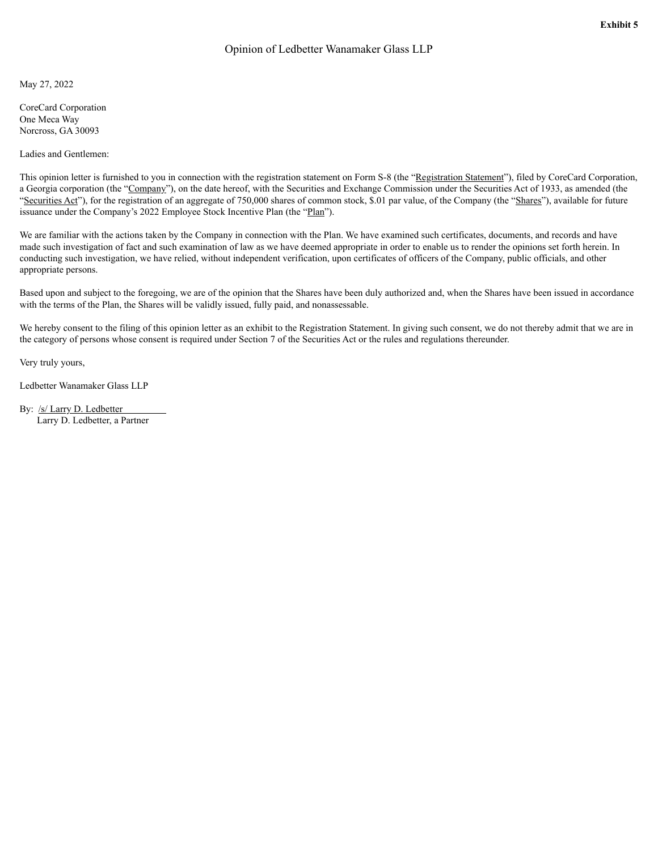<span id="page-6-0"></span>May 27, 2022

CoreCard Corporation One Meca Way Norcross, GA 30093

Ladies and Gentlemen:

This opinion letter is furnished to you in connection with the registration statement on Form S-8 (the "Registration Statement"), filed by CoreCard Corporation, a Georgia corporation (the "Company"), on the date hereof, with the Securities and Exchange Commission under the Securities Act of 1933, as amended (the "Securities Act"), for the registration of an aggregate of 750,000 shares of common stock, \$.01 par value, of the Company (the "Shares"), available for future issuance under the Company's 2022 Employee Stock Incentive Plan (the "Plan").

We are familiar with the actions taken by the Company in connection with the Plan. We have examined such certificates, documents, and records and have made such investigation of fact and such examination of law as we have deemed appropriate in order to enable us to render the opinions set forth herein. In conducting such investigation, we have relied, without independent verification, upon certificates of officers of the Company, public officials, and other appropriate persons.

Based upon and subject to the foregoing, we are of the opinion that the Shares have been duly authorized and, when the Shares have been issued in accordance with the terms of the Plan, the Shares will be validly issued, fully paid, and nonassessable.

We hereby consent to the filing of this opinion letter as an exhibit to the Registration Statement. In giving such consent, we do not thereby admit that we are in the category of persons whose consent is required under Section 7 of the Securities Act or the rules and regulations thereunder.

Very truly yours,

Ledbetter Wanamaker Glass LLP

## By: /s/ Larry D. Ledbetter

Larry D. Ledbetter, a Partner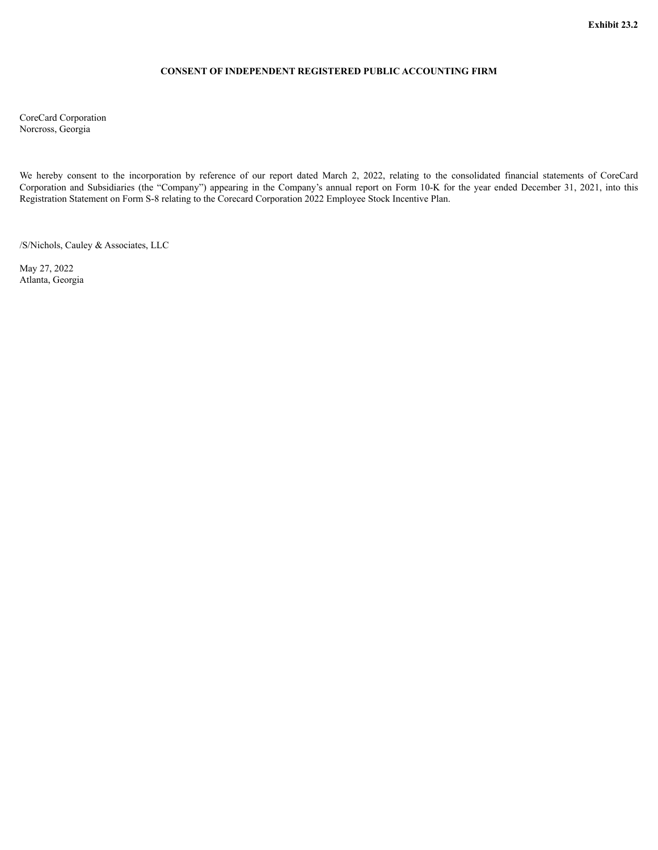## **CONSENT OF INDEPENDENT REGISTERED PUBLIC ACCOUNTING FIRM**

<span id="page-7-0"></span>CoreCard Corporation Norcross, Georgia

We hereby consent to the incorporation by reference of our report dated March 2, 2022, relating to the consolidated financial statements of CoreCard Corporation and Subsidiaries (the "Company") appearing in the Company's annual report on Form 10-K for the year ended December 31, 2021, into this Registration Statement on Form S-8 relating to the Corecard Corporation 2022 Employee Stock Incentive Plan.

/S/Nichols, Cauley & Associates, LLC

May 27, 2022 Atlanta, Georgia